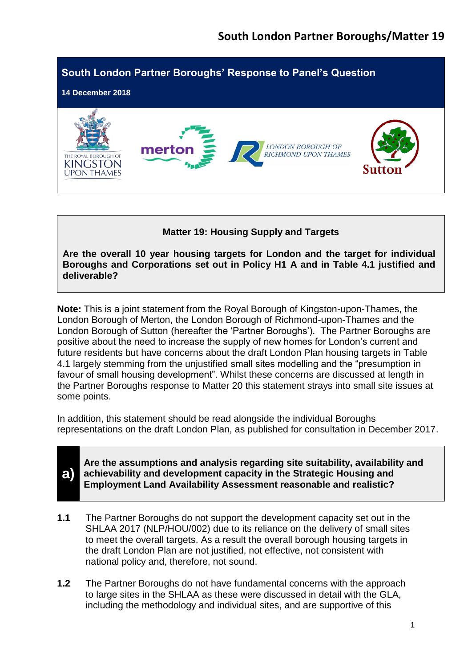

## **Matter 19: Housing Supply and Targets**

**Are the overall 10 year housing targets for London and the target for individual Boroughs and Corporations set out in Policy H1 A and in Table 4.1 justified and deliverable?**

**Note:** This is a joint statement from the Royal Borough of Kingston-upon-Thames, the London Borough of Merton, the London Borough of Richmond-upon-Thames and the London Borough of Sutton (hereafter the 'Partner Boroughs'). The Partner Boroughs are positive about the need to increase the supply of new homes for London's current and future residents but have concerns about the draft London Plan housing targets in Table 4.1 largely stemming from the unjustified small sites modelling and the "presumption in favour of small housing development". Whilst these concerns are discussed at length in the Partner Boroughs response to Matter 20 this statement strays into small site issues at some points.

In addition, this statement should be read alongside the individual Boroughs representations on the draft London Plan, as published for consultation in December 2017.



- **1.1** The Partner Boroughs do not support the development capacity set out in the SHLAA 2017 (NLP/HOU/002) due to its reliance on the delivery of small sites to meet the overall targets. As a result the overall borough housing targets in the draft London Plan are not justified, not effective, not consistent with national policy and, therefore, not sound.
- **1.2** The Partner Boroughs do not have fundamental concerns with the approach to large sites in the SHLAA as these were discussed in detail with the GLA, including the methodology and individual sites, and are supportive of this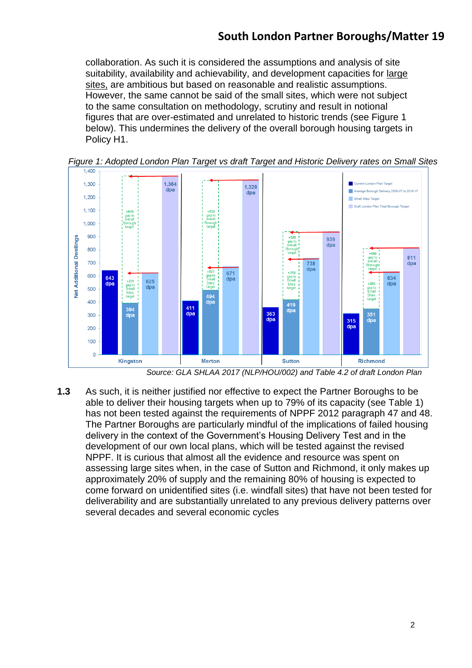collaboration. As such it is considered the assumptions and analysis of site suitability, availability and achievability, and development capacities for large sites, are ambitious but based on reasonable and realistic assumptions. However, the same cannot be said of the small sites, which were not subject to the same consultation on methodology, scrutiny and result in notional figures that are over-estimated and unrelated to historic trends (see Figure 1 below). This undermines the delivery of the overall borough housing targets in Policy H1.



*Figure 1: Adopted London Plan Target vs draft Target and Historic Delivery rates on Small Sites*

**1.3** As such, it is neither justified nor effective to expect the Partner Boroughs to be able to deliver their housing targets when up to 79% of its capacity (see Table 1) has not been tested against the requirements of NPPF 2012 paragraph 47 and 48. The Partner Boroughs are particularly mindful of the implications of failed housing delivery in the context of the Government's Housing Delivery Test and in the development of our own local plans, which will be tested against the revised NPPF. It is curious that almost all the evidence and resource was spent on assessing large sites when, in the case of Sutton and Richmond, it only makes up approximately 20% of supply and the remaining 80% of housing is expected to come forward on unidentified sites (i.e. windfall sites) that have not been tested for deliverability and are substantially unrelated to any previous delivery patterns over several decades and several economic cycles

*Source: GLA SHLAA 2017 (NLP/HOU/002) and Table 4.2 of draft London Plan*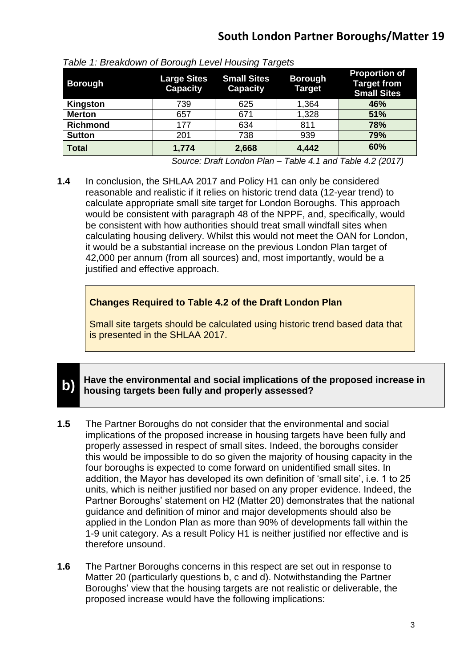| <b>Borough</b>  | ັ<br><b>Large Sites</b><br><b>Capacity</b> | ັ<br><b>Small Sites</b><br><b>Capacity</b> | ັ<br><b>Borough</b><br><b>Target</b> | <b>Proportion of</b><br><b>Target from</b><br><b>Small Sites</b> |
|-----------------|--------------------------------------------|--------------------------------------------|--------------------------------------|------------------------------------------------------------------|
| Kingston        | 739                                        | 625                                        | 1,364                                | 46%                                                              |
| <b>Merton</b>   | 657                                        | 671                                        | 1,328                                | 51%                                                              |
| <b>Richmond</b> | 177                                        | 634                                        | 811                                  | 78%                                                              |
| <b>Sutton</b>   | 201                                        | 738                                        | 939                                  | 79%                                                              |
| <b>Total</b>    | 1,774                                      | 2,668                                      | 4,442                                | 60%                                                              |

*Source: Draft London Plan – Table 4.1 and Table 4.2 (2017)*

**1.4** In conclusion, the SHLAA 2017 and Policy H1 can only be considered reasonable and realistic if it relies on historic trend data (12-year trend) to calculate appropriate small site target for London Boroughs. This approach would be consistent with paragraph 48 of the NPPF, and, specifically, would be consistent with how authorities should treat small windfall sites when calculating housing delivery. Whilst this would not meet the OAN for London, it would be a substantial increase on the previous London Plan target of 42,000 per annum (from all sources) and, most importantly, would be a justified and effective approach.

## **Changes Required to Table 4.2 of the Draft London Plan**

Small site targets should be calculated using historic trend based data that is presented in the SHLAA 2017.

#### **b) Have the environmental and social implications of the proposed increase in housing targets been fully and properly assessed?**

- **1.5** The Partner Boroughs do not consider that the environmental and social implications of the proposed increase in housing targets have been fully and properly assessed in respect of small sites. Indeed, the boroughs consider this would be impossible to do so given the majority of housing capacity in the four boroughs is expected to come forward on unidentified small sites. In addition, the Mayor has developed its own definition of 'small site', i.e. 1 to 25 units, which is neither justified nor based on any proper evidence. Indeed, the Partner Boroughs' statement on H2 (Matter 20) demonstrates that the national guidance and definition of minor and major developments should also be applied in the London Plan as more than 90% of developments fall within the 1-9 unit category. As a result Policy H1 is neither justified nor effective and is therefore unsound.
- **1.6** The Partner Boroughs concerns in this respect are set out in response to Matter 20 (particularly questions b, c and d). Notwithstanding the Partner Boroughs' view that the housing targets are not realistic or deliverable, the proposed increase would have the following implications: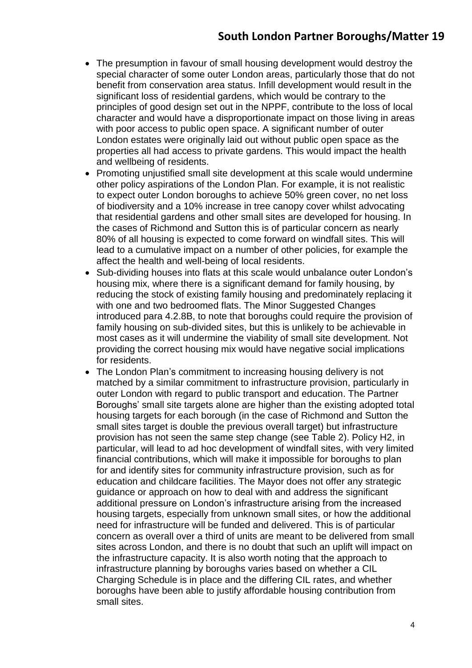- The presumption in favour of small housing development would destroy the special character of some outer London areas, particularly those that do not benefit from conservation area status. Infill development would result in the significant loss of residential gardens, which would be contrary to the principles of good design set out in the NPPF, contribute to the loss of local character and would have a disproportionate impact on those living in areas with poor access to public open space. A significant number of outer London estates were originally laid out without public open space as the properties all had access to private gardens. This would impact the health and wellbeing of residents.
- Promoting uniustified small site development at this scale would undermine other policy aspirations of the London Plan. For example, it is not realistic to expect outer London boroughs to achieve 50% green cover, no net loss of biodiversity and a 10% increase in tree canopy cover whilst advocating that residential gardens and other small sites are developed for housing. In the cases of Richmond and Sutton this is of particular concern as nearly 80% of all housing is expected to come forward on windfall sites. This will lead to a cumulative impact on a number of other policies, for example the affect the health and well-being of local residents.
- Sub-dividing houses into flats at this scale would unbalance outer London's housing mix, where there is a significant demand for family housing, by reducing the stock of existing family housing and predominately replacing it with one and two bedroomed flats. The Minor Suggested Changes introduced para 4.2.8B, to note that boroughs could require the provision of family housing on sub-divided sites, but this is unlikely to be achievable in most cases as it will undermine the viability of small site development. Not providing the correct housing mix would have negative social implications for residents.
- The London Plan's commitment to increasing housing delivery is not matched by a similar commitment to infrastructure provision, particularly in outer London with regard to public transport and education. The Partner Boroughs' small site targets alone are higher than the existing adopted total housing targets for each borough (in the case of Richmond and Sutton the small sites target is double the previous overall target) but infrastructure provision has not seen the same step change (see Table 2). Policy H2, in particular, will lead to ad hoc development of windfall sites, with very limited financial contributions, which will make it impossible for boroughs to plan for and identify sites for community infrastructure provision, such as for education and childcare facilities. The Mayor does not offer any strategic guidance or approach on how to deal with and address the significant additional pressure on London's infrastructure arising from the increased housing targets, especially from unknown small sites, or how the additional need for infrastructure will be funded and delivered. This is of particular concern as overall over a third of units are meant to be delivered from small sites across London, and there is no doubt that such an uplift will impact on the infrastructure capacity. It is also worth noting that the approach to infrastructure planning by boroughs varies based on whether a CIL Charging Schedule is in place and the differing CIL rates, and whether boroughs have been able to justify affordable housing contribution from small sites.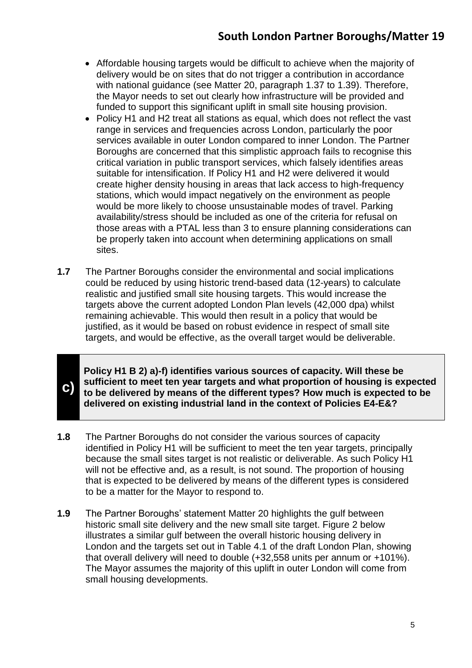- Affordable housing targets would be difficult to achieve when the majority of delivery would be on sites that do not trigger a contribution in accordance with national guidance (see Matter 20, paragraph 1.37 to 1.39). Therefore, the Mayor needs to set out clearly how infrastructure will be provided and funded to support this significant uplift in small site housing provision.
- Policy H1 and H2 treat all stations as equal, which does not reflect the vast range in services and frequencies across London, particularly the poor services available in outer London compared to inner London. The Partner Boroughs are concerned that this simplistic approach fails to recognise this critical variation in public transport services, which falsely identifies areas suitable for intensification. If Policy H1 and H2 were delivered it would create higher density housing in areas that lack access to high-frequency stations, which would impact negatively on the environment as people would be more likely to choose unsustainable modes of travel. Parking availability/stress should be included as one of the criteria for refusal on those areas with a PTAL less than 3 to ensure planning considerations can be properly taken into account when determining applications on small sites.
- **1.7** The Partner Boroughs consider the environmental and social implications could be reduced by using historic trend-based data (12-years) to calculate realistic and justified small site housing targets. This would increase the targets above the current adopted London Plan levels (42,000 dpa) whilst remaining achievable. This would then result in a policy that would be justified, as it would be based on robust evidence in respect of small site targets, and would be effective, as the overall target would be deliverable.

**c)**

**Policy H1 B 2) a)-f) identifies various sources of capacity. Will these be sufficient to meet ten year targets and what proportion of housing is expected to be delivered by means of the different types? How much is expected to be delivered on existing industrial land in the context of Policies E4-E&?**

- **1.8** The Partner Boroughs do not consider the various sources of capacity identified in Policy H1 will be sufficient to meet the ten year targets, principally because the small sites target is not realistic or deliverable. As such Policy H1 will not be effective and, as a result, is not sound. The proportion of housing that is expected to be delivered by means of the different types is considered to be a matter for the Mayor to respond to.
- **1.9** The Partner Boroughs' statement Matter 20 highlights the gulf between historic small site delivery and the new small site target. Figure 2 below illustrates a similar gulf between the overall historic housing delivery in London and the targets set out in Table 4.1 of the draft London Plan, showing that overall delivery will need to double (+32,558 units per annum or +101%). The Mayor assumes the majority of this uplift in outer London will come from small housing developments.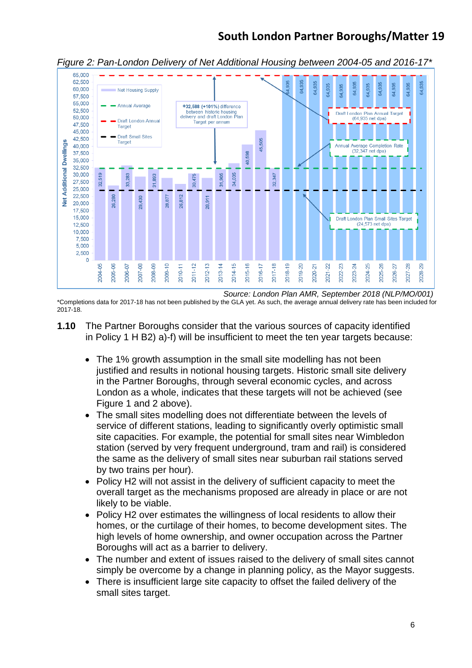

*Figure 2: Pan-London Delivery of Net Additional Housing between 2004-05 and 2016-17\**

*Source: London Plan AMR, September 2018 (NLP/MO/001)* \*Completions data for 2017-18 has not been published by the GLA yet. As such, the average annual delivery rate has been included for 2017-18.

- **1.10** The Partner Boroughs consider that the various sources of capacity identified in Policy 1 H B2) a)-f) will be insufficient to meet the ten year targets because:
	- The 1% growth assumption in the small site modelling has not been justified and results in notional housing targets. Historic small site delivery in the Partner Boroughs, through several economic cycles, and across London as a whole, indicates that these targets will not be achieved (see Figure 1 and 2 above).
	- The small sites modelling does not differentiate between the levels of service of different stations, leading to significantly overly optimistic small site capacities. For example, the potential for small sites near Wimbledon station (served by very frequent underground, tram and rail) is considered the same as the delivery of small sites near suburban rail stations served by two trains per hour).
	- Policy H2 will not assist in the delivery of sufficient capacity to meet the overall target as the mechanisms proposed are already in place or are not likely to be viable.
	- Policy H2 over estimates the willingness of local residents to allow their homes, or the curtilage of their homes, to become development sites. The high levels of home ownership, and owner occupation across the Partner Boroughs will act as a barrier to delivery.
	- The number and extent of issues raised to the delivery of small sites cannot simply be overcome by a change in planning policy, as the Mayor suggests.
	- There is insufficient large site capacity to offset the failed delivery of the small sites target.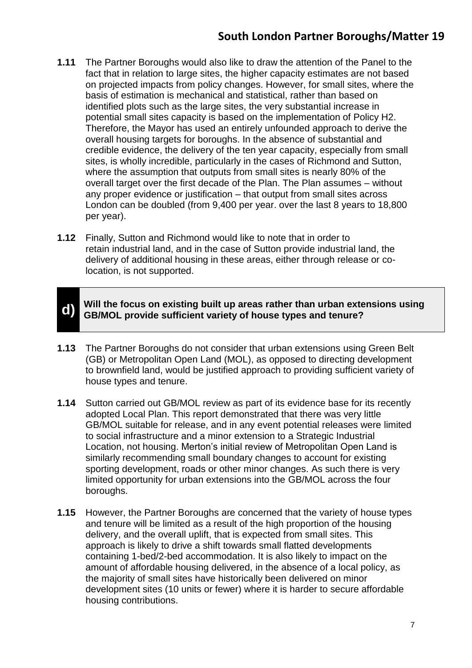- **1.11** The Partner Boroughs would also like to draw the attention of the Panel to the fact that in relation to large sites, the higher capacity estimates are not based on projected impacts from policy changes. However, for small sites, where the basis of estimation is mechanical and statistical, rather than based on identified plots such as the large sites, the very substantial increase in potential small sites capacity is based on the implementation of Policy H2. Therefore, the Mayor has used an entirely unfounded approach to derive the overall housing targets for boroughs. In the absence of substantial and credible evidence, the delivery of the ten year capacity, especially from small sites, is wholly incredible, particularly in the cases of Richmond and Sutton, where the assumption that outputs from small sites is nearly 80% of the overall target over the first decade of the Plan. The Plan assumes – without any proper evidence or justification – that output from small sites across London can be doubled (from 9,400 per year. over the last 8 years to 18,800 per year).
- **1.12** Finally, Sutton and Richmond would like to note that in order to retain industrial land, and in the case of Sutton provide industrial land, the delivery of additional housing in these areas, either through release or colocation, is not supported.



- **1.13** The Partner Boroughs do not consider that urban extensions using Green Belt (GB) or Metropolitan Open Land (MOL), as opposed to directing development to brownfield land, would be justified approach to providing sufficient variety of house types and tenure.
- **1.14** Sutton carried out GB/MOL review as part of its evidence base for its recently adopted Local Plan. This report demonstrated that there was very little GB/MOL suitable for release, and in any event potential releases were limited to social infrastructure and a minor extension to a Strategic Industrial Location, not housing. Merton's initial review of Metropolitan Open Land is similarly recommending small boundary changes to account for existing sporting development, roads or other minor changes. As such there is very limited opportunity for urban extensions into the GB/MOL across the four boroughs.
- **1.15** However, the Partner Boroughs are concerned that the variety of house types and tenure will be limited as a result of the high proportion of the housing delivery, and the overall uplift, that is expected from small sites. This approach is likely to drive a shift towards small flatted developments containing 1-bed/2-bed accommodation. It is also likely to impact on the amount of affordable housing delivered, in the absence of a local policy, as the majority of small sites have historically been delivered on minor development sites (10 units or fewer) where it is harder to secure affordable housing contributions.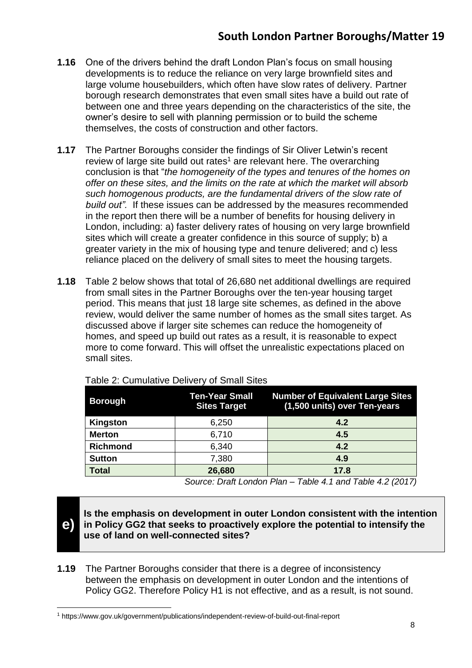- **1.16** One of the drivers behind the draft London Plan's focus on small housing developments is to reduce the reliance on very large brownfield sites and large volume housebuilders, which often have slow rates of delivery. Partner borough research demonstrates that even small sites have a build out rate of between one and three years depending on the characteristics of the site, the owner's desire to sell with planning permission or to build the scheme themselves, the costs of construction and other factors.
- **1.17** The Partner Boroughs consider the findings of Sir Oliver Letwin's recent review of large site build out rates<sup>1</sup> are relevant here. The overarching conclusion is that "*the homogeneity of the types and tenures of the homes on offer on these sites, and the limits on the rate at which the market will absorb such homogenous products, are the fundamental drivers of the slow rate of build out".* If these issues can be addressed by the measures recommended in the report then there will be a number of benefits for housing delivery in London, including: a) faster delivery rates of housing on very large brownfield sites which will create a greater confidence in this source of supply; b) a greater variety in the mix of housing type and tenure delivered; and c) less reliance placed on the delivery of small sites to meet the housing targets.
- **1.18** Table 2 below shows that total of 26,680 net additional dwellings are required from small sites in the Partner Boroughs over the ten-year housing target period. This means that just 18 large site schemes, as defined in the above review, would deliver the same number of homes as the small sites target. As discussed above if larger site schemes can reduce the homogeneity of homes, and speed up build out rates as a result, it is reasonable to expect more to come forward. This will offset the unrealistic expectations placed on small sites.

| <b>Borough</b>  | <b>Ten-Year Small</b><br><b>Sites Target</b> | <b>Number of Equivalent Large Sites</b><br>(1,500 units) over Ten-years |
|-----------------|----------------------------------------------|-------------------------------------------------------------------------|
| Kingston        | 6,250                                        | 4.2                                                                     |
| <b>Merton</b>   | 6,710                                        | 4.5                                                                     |
| <b>Richmond</b> | 6,340                                        | 4.2                                                                     |
| <b>Sutton</b>   | 7,380                                        | 4.9                                                                     |
| <b>Total</b>    | 26,680                                       | 17.8                                                                    |

Table 2: Cumulative Delivery of Small Sites

*Source: Draft London Plan – Table 4.1 and Table 4.2 (2017)*

**.** 

**Is the emphasis on development in outer London consistent with the intention in Policy GG2 that seeks to proactively explore the potential to intensify the use of land on well-connected sites?**

**1.19** The Partner Boroughs consider that there is a degree of inconsistency between the emphasis on development in outer London and the intentions of Policy GG2. Therefore Policy H1 is not effective, and as a result, is not sound.

**e)**

<sup>1</sup> https://www.gov.uk/government/publications/independent-review-of-build-out-final-report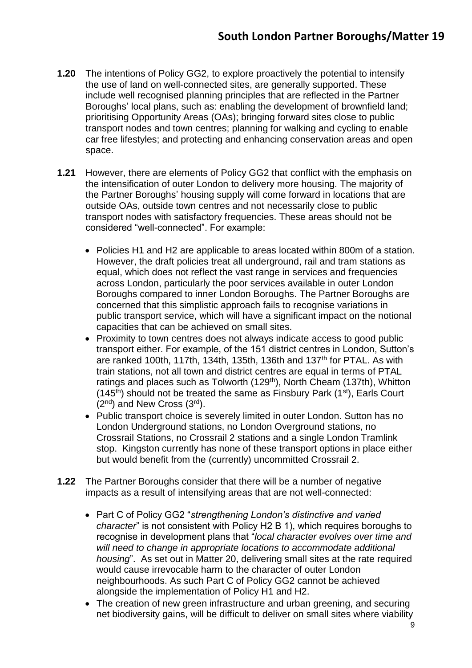- **1.20** The intentions of Policy GG2, to explore proactively the potential to intensify the use of land on well-connected sites, are generally supported. These include well recognised planning principles that are reflected in the Partner Boroughs' local plans, such as: enabling the development of brownfield land; prioritising Opportunity Areas (OAs); bringing forward sites close to public transport nodes and town centres; planning for walking and cycling to enable car free lifestyles; and protecting and enhancing conservation areas and open space.
- **1.21** However, there are elements of Policy GG2 that conflict with the emphasis on the intensification of outer London to delivery more housing. The majority of the Partner Boroughs' housing supply will come forward in locations that are outside OAs, outside town centres and not necessarily close to public transport nodes with satisfactory frequencies. These areas should not be considered "well-connected". For example:
	- Policies H1 and H2 are applicable to areas located within 800m of a station. However, the draft policies treat all underground, rail and tram stations as equal, which does not reflect the vast range in services and frequencies across London, particularly the poor services available in outer London Boroughs compared to inner London Boroughs. The Partner Boroughs are concerned that this simplistic approach fails to recognise variations in public transport service, which will have a significant impact on the notional capacities that can be achieved on small sites.
	- Proximity to town centres does not always indicate access to good public transport either. For example, of the 151 district centres in London, Sutton's are ranked 100th, 117th, 134th, 135th, 136th and 137<sup>th</sup> for PTAL. As with train stations, not all town and district centres are equal in terms of PTAL ratings and places such as Tolworth (129<sup>th</sup>), North Cheam (137th), Whitton  $(145<sup>th</sup>)$  should not be treated the same as Finsbury Park  $(1<sup>st</sup>)$ , Earls Court  $(2<sup>nd</sup>)$  and New Cross  $(3<sup>rd</sup>)$ .
	- Public transport choice is severely limited in outer London. Sutton has no London Underground stations, no London Overground stations, no Crossrail Stations, no Crossrail 2 stations and a single London Tramlink stop. Kingston currently has none of these transport options in place either but would benefit from the (currently) uncommitted Crossrail 2.
- **1.22** The Partner Boroughs consider that there will be a number of negative impacts as a result of intensifying areas that are not well-connected:
	- Part C of Policy GG2 "*strengthening London's distinctive and varied character*" is not consistent with Policy H2 B 1), which requires boroughs to recognise in development plans that "*local character evolves over time and will need to change in appropriate locations to accommodate additional housing*". As set out in Matter 20, delivering small sites at the rate required would cause irrevocable harm to the character of outer London neighbourhoods. As such Part C of Policy GG2 cannot be achieved alongside the implementation of Policy H1 and H2.
	- The creation of new green infrastructure and urban greening, and securing net biodiversity gains, will be difficult to deliver on small sites where viability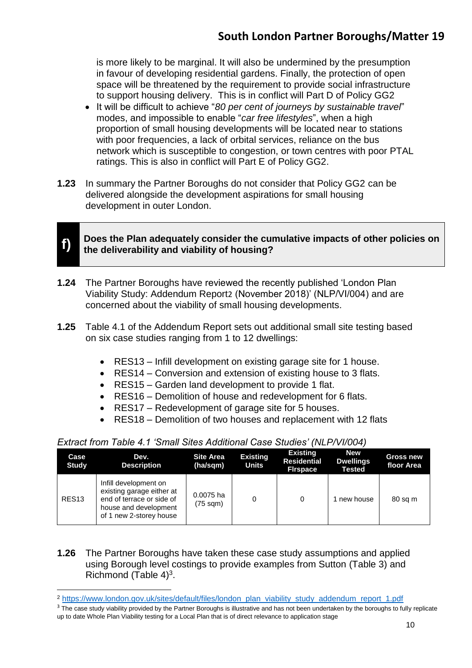is more likely to be marginal. It will also be undermined by the presumption in favour of developing residential gardens. Finally, the protection of open space will be threatened by the requirement to provide social infrastructure to support housing delivery. This is in conflict will Part D of Policy GG2

- It will be difficult to achieve "*80 per cent of journeys by sustainable travel*" modes, and impossible to enable "*car free lifestyles*", when a high proportion of small housing developments will be located near to stations with poor frequencies, a lack of orbital services, reliance on the bus network which is susceptible to congestion, or town centres with poor PTAL ratings. This is also in conflict will Part E of Policy GG2.
- **1.23** In summary the Partner Boroughs do not consider that Policy GG2 can be delivered alongside the development aspirations for small housing development in outer London.



**.** 

**Does the Plan adequately consider the cumulative impacts of other policies on the deliverability and viability of housing?**

- **1.24** The Partner Boroughs have reviewed the recently published 'London Plan Viability Study: Addendum Report2 (November 2018)' (NLP/VI/004) and are concerned about the viability of small housing developments.
- **1.25** Table 4.1 of the Addendum Report sets out additional small site testing based on six case studies ranging from 1 to 12 dwellings:
	- RES13 Infill development on existing garage site for 1 house.
	- RES14 Conversion and extension of existing house to 3 flats.
	- RES15 Garden land development to provide 1 flat.
	- RES16 Demolition of house and redevelopment for 6 flats.
	- RES17 Redevelopment of garage site for 5 houses.
	- RES18 Demolition of two houses and replacement with 12 flats

| Extract from Table 4.1 'Small Sites Additional Case Studies' (NLP/VI/004) |  |  |  |
|---------------------------------------------------------------------------|--|--|--|
|---------------------------------------------------------------------------|--|--|--|

| Case<br><b>Study</b> | Dev.<br><b>Description</b>                                                                                                          | <b>Site Area</b><br>(ha/sqm)    | <b>Existing</b><br><b>Units</b> | <b>Existing</b><br><b>Residential</b><br><b>Firspace</b> | <b>New</b><br><b>Dwellings</b><br><b>Tested</b> | <b>Gross new</b><br>floor Area |
|----------------------|-------------------------------------------------------------------------------------------------------------------------------------|---------------------------------|---------------------------------|----------------------------------------------------------|-------------------------------------------------|--------------------------------|
| RES <sub>13</sub>    | Infill development on<br>existing garage either at<br>end of terrace or side of<br>house and development<br>of 1 new 2-storey house | 0.0075 ha<br>$(75 \text{ sqm})$ |                                 | 0                                                        | new house                                       | 80 sq m                        |

**1.26** The Partner Boroughs have taken these case study assumptions and applied using Borough level costings to provide examples from Sutton (Table 3) and Richmond (Table  $4)^3$ .

<sup>2</sup> [https://www.london.gov.uk/sites/default/files/london\\_plan\\_viability\\_study\\_addendum\\_report\\_1.pdf](https://www.london.gov.uk/sites/default/files/london_plan_viability_study_addendum_report_1.pdf)

<sup>&</sup>lt;sup>3</sup> The case study viability provided by the Partner Boroughs is illustrative and has not been undertaken by the boroughs to fully replicate up to date Whole Plan Viability testing for a Local Plan that is of direct relevance to application stage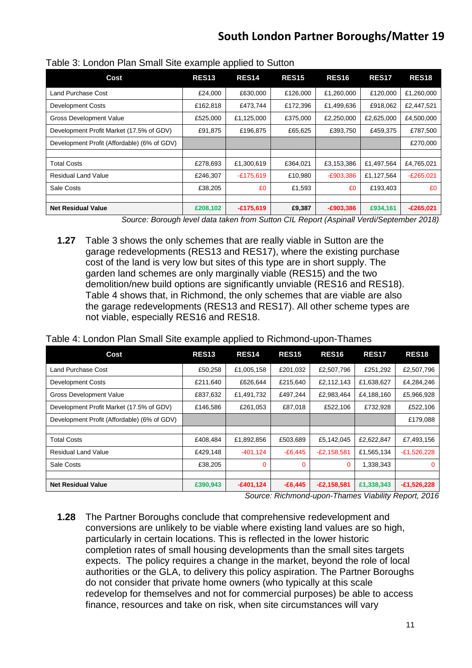| Cost                                        | <b>RES13</b>         | . .<br>RES <sub>14</sub> | <b>RES15</b>            | <b>RES16</b> | <b>RES17</b> | <b>RES18</b>                                                                                                              |
|---------------------------------------------|----------------------|--------------------------|-------------------------|--------------|--------------|---------------------------------------------------------------------------------------------------------------------------|
| Land Purchase Cost                          | £24,000              | £630,000                 | £126,000                | £1,260,000   | £120,000     | £1,260,000                                                                                                                |
| <b>Development Costs</b>                    | £162,818             | £473,744                 | £172,396                | £1,499,636   | £918,062     | £2,447,521                                                                                                                |
| <b>Gross Development Value</b>              | £525,000             | £1,125,000               | £375,000                | £2,250,000   | £2,625,000   | £4,500,000                                                                                                                |
| Development Profit Market (17.5% of GDV)    | £91,875              | £196,875                 | £65,625                 | £393,750     | £459,375     | £787,500                                                                                                                  |
| Development Profit (Affordable) (6% of GDV) |                      |                          |                         |              |              | £270,000                                                                                                                  |
|                                             |                      |                          |                         |              |              |                                                                                                                           |
| <b>Total Costs</b>                          | £278,693             | £1,300,619               | £364,021                | £3,153,386   | £1,497,564   | £4,765,021                                                                                                                |
| <b>Residual Land Value</b>                  | £246,307             | $-£175,619$              | £10,980                 | $-E903,386$  | £1,127,564   | $-E265,021$                                                                                                               |
| Sale Costs                                  | £38,205              | £0                       | £1,593                  | £0           | £193,403     | £0                                                                                                                        |
|                                             |                      |                          |                         |              |              |                                                                                                                           |
| <b>Net Residual Value</b><br>$\sim$         | £208,102<br>$\cdots$ | $-£175,619$              | £9,387<br>$\sim$ $\sim$ | $-E903,386$  | £934,161     | $-£265,021$<br>$\mathbf{r} \cdot \mathbf{r}$ $\mathbf{r} \cdot \mathbf{r}$ $\mathbf{r} \cdot \mathbf{r} \cdot \mathbf{r}$ |

Table 3: London Plan Small Site example applied to Sutton

*Source: Borough level data taken from Sutton CIL Report (Aspinall Verdi/September 2018)*

**1.27** Table 3 shows the only schemes that are really viable in Sutton are the garage redevelopments (RES13 and RES17), where the existing purchase cost of the land is very low but sites of this type are in short supply. The garden land schemes are only marginally viable (RES15) and the two demolition/new build options are significantly unviable (RES16 and RES18). Table 4 shows that, in Richmond, the only schemes that are viable are also the garage redevelopments (RES13 and RES17). All other scheme types are not viable, especially RES16 and RES18.

|  | Table 4: London Plan Small Site example applied to Richmond-upon-Thames |  |
|--|-------------------------------------------------------------------------|--|
|  |                                                                         |  |

| Cost                                        | RES <sub>13</sub> | <b>RES14</b> | <b>RES15</b> | <b>RES16</b>  | <b>RES17</b> | <b>RES18</b>  |
|---------------------------------------------|-------------------|--------------|--------------|---------------|--------------|---------------|
| Land Purchase Cost                          | £50,258           | £1,005,158   | £201,032     | £2,507,796    | £251,292     | £2,507,796    |
| <b>Development Costs</b>                    | £211,640          | £626,644     | £215.640     | £2,112,143    | £1,638,627   | £4,284,246    |
| <b>Gross Development Value</b>              | £837,632          | £1,491,732   | £497,244     | £2,983,464    | £4,188,160   | £5,966,928    |
| Development Profit Market (17.5% of GDV)    | £146,586          | £261,053     | £87,018      | £522,106      | £732,928     | £522,106      |
| Development Profit (Affordable) (6% of GDV) |                   |              |              |               |              | £179,088      |
|                                             |                   |              |              |               |              |               |
| <b>Total Costs</b>                          | £408,484          | £1,892,856   | £503,689     | £5,142,045    | £2,622,847   | £7,493,156    |
| <b>Residual Land Value</b>                  | £429,148          | $-401, 124$  | $-E6,445$    | $-E2,158,581$ | £1,565,134   | $-E1,526,228$ |
| Sale Costs                                  | £38,205           | $\Omega$     | 0            | 0             | 1,338,343    | $\mathbf{0}$  |
|                                             |                   |              |              |               |              |               |
| <b>Net Residual Value</b>                   | £390,943          | $-£401,124$  | $-£6,445$    | $-E2,158,581$ | £1,338,343   | $-£1,526,228$ |

*Source: Richmond-upon-Thames Viability Report, 2016*

**1.28** The Partner Boroughs conclude that comprehensive redevelopment and conversions are unlikely to be viable where existing land values are so high, particularly in certain locations. This is reflected in the lower historic completion rates of small housing developments than the small sites targets expects. The policy requires a change in the market, beyond the role of local authorities or the GLA, to delivery this policy aspiration. The Partner Boroughs do not consider that private home owners (who typically at this scale redevelop for themselves and not for commercial purposes) be able to access finance, resources and take on risk, when site circumstances will vary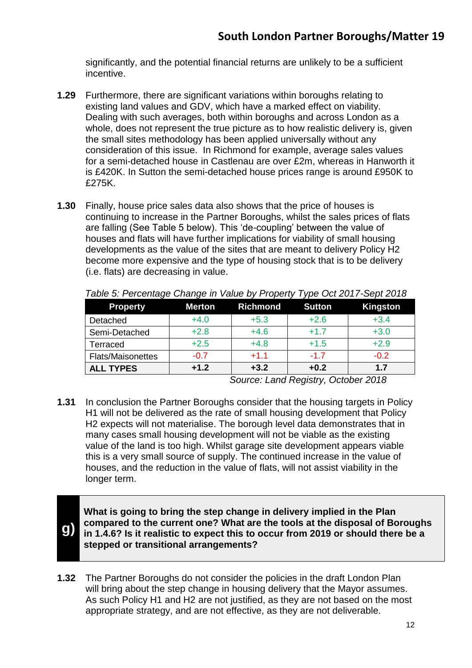significantly, and the potential financial returns are unlikely to be a sufficient incentive.

- **1.29** Furthermore, there are significant variations within boroughs relating to existing land values and GDV, which have a marked effect on viability. Dealing with such averages, both within boroughs and across London as a whole, does not represent the true picture as to how realistic delivery is, given the small sites methodology has been applied universally without any consideration of this issue. In Richmond for example, average sales values for a semi-detached house in Castlenau are over £2m, whereas in Hanworth it is £420K. In Sutton the semi-detached house prices range is around £950K to £275K.
- **1.30** Finally, house price sales data also shows that the price of houses is continuing to increase in the Partner Boroughs, whilst the sales prices of flats are falling (See Table 5 below). This 'de-coupling' between the value of houses and flats will have further implications for viability of small housing developments as the value of the sites that are meant to delivery Policy H2 become more expensive and the type of housing stock that is to be delivery (i.e. flats) are decreasing in value.

| <b>Property</b>   | <b>Merton</b> | <b>Richmond</b> | <b>Sutton</b> | Kingston |
|-------------------|---------------|-----------------|---------------|----------|
| Detached          | $+4.0$        | $+5.3$          | $+2.6$        | $+3.4$   |
| Semi-Detached     | $+2.8$        | $+4.6$          | $+1.7$        | $+3.0$   |
| Terraced          | $+2.5$        | $+4.8$          | $+1.5$        | $+2.9$   |
| Flats/Maisonettes | $-0.7$        | $+1.1$          | $-1.7$        | $-0.2$   |
| <b>ALL TYPES</b>  | $+1.2$        | $+3.2$          | $+0.2$        | 1.7      |

*Table 5: Percentage Change in Value by Property Type Oct 2017-Sept 2018*

*Source: Land Registry, October 2018*

**1.31** In conclusion the Partner Boroughs consider that the housing targets in Policy H1 will not be delivered as the rate of small housing development that Policy H2 expects will not materialise. The borough level data demonstrates that in many cases small housing development will not be viable as the existing value of the land is too high. Whilst garage site development appears viable this is a very small source of supply. The continued increase in the value of houses, and the reduction in the value of flats, will not assist viability in the longer term.

**g)**

**What is going to bring the step change in delivery implied in the Plan compared to the current one? What are the tools at the disposal of Boroughs in 1.4.6? Is it realistic to expect this to occur from 2019 or should there be a stepped or transitional arrangements?**

**1.32** The Partner Boroughs do not consider the policies in the draft London Plan will bring about the step change in housing delivery that the Mayor assumes. As such Policy H1 and H2 are not justified, as they are not based on the most appropriate strategy, and are not effective, as they are not deliverable.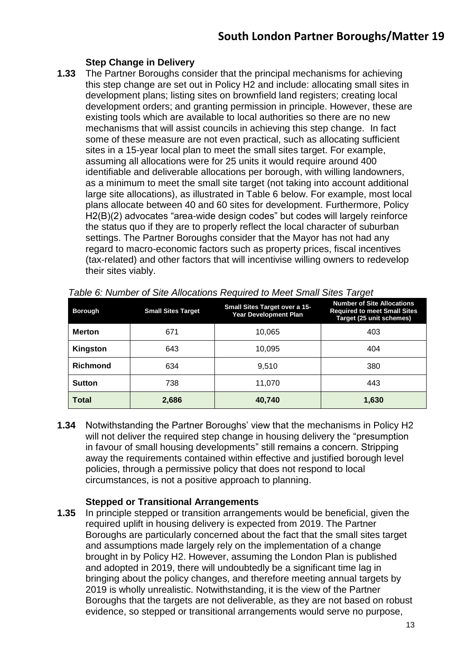## **Step Change in Delivery**

**1.33** The Partner Boroughs consider that the principal mechanisms for achieving this step change are set out in Policy H2 and include: allocating small sites in development plans; listing sites on brownfield land registers; creating local development orders; and granting permission in principle. However, these are existing tools which are available to local authorities so there are no new mechanisms that will assist councils in achieving this step change. In fact some of these measure are not even practical, such as allocating sufficient sites in a 15-year local plan to meet the small sites target. For example, assuming all allocations were for 25 units it would require around 400 identifiable and deliverable allocations per borough, with willing landowners, as a minimum to meet the small site target (not taking into account additional large site allocations), as illustrated in Table 6 below. For example, most local plans allocate between 40 and 60 sites for development. Furthermore, Policy H2(B)(2) advocates "area-wide design codes" but codes will largely reinforce the status quo if they are to properly reflect the local character of suburban settings. The Partner Boroughs consider that the Mayor has not had any regard to macro-economic factors such as property prices, fiscal incentives (tax-related) and other factors that will incentivise willing owners to redevelop their sites viably.

| <b>Borough</b>  | <b>Small Sites Target</b> | <b>Small Sites Target over a 15-</b><br><b>Year Development Plan</b> | ັ<br><b>Number of Site Allocations</b><br><b>Required to meet Small Sites</b><br>Target (25 unit schemes) |
|-----------------|---------------------------|----------------------------------------------------------------------|-----------------------------------------------------------------------------------------------------------|
| <b>Merton</b>   | 671                       | 10,065                                                               | 403                                                                                                       |
| Kingston        | 643                       | 10,095                                                               | 404                                                                                                       |
| <b>Richmond</b> | 634                       | 9,510                                                                | 380                                                                                                       |
| <b>Sutton</b>   | 738                       | 11,070                                                               | 443                                                                                                       |
| <b>Total</b>    | 2,686                     | 40,740                                                               | 1,630                                                                                                     |

*Table 6: Number of Site Allocations Required to Meet Small Sites Target* 

**1.34** Notwithstanding the Partner Boroughs' view that the mechanisms in Policy H2 will not deliver the required step change in housing delivery the "presumption in favour of small housing developments" still remains a concern. Stripping away the requirements contained within effective and justified borough level policies, through a permissive policy that does not respond to local circumstances, is not a positive approach to planning.

#### **Stepped or Transitional Arrangements**

**1.35** In principle stepped or transition arrangements would be beneficial, given the required uplift in housing delivery is expected from 2019. The Partner Boroughs are particularly concerned about the fact that the small sites target and assumptions made largely rely on the implementation of a change brought in by Policy H2. However, assuming the London Plan is published and adopted in 2019, there will undoubtedly be a significant time lag in bringing about the policy changes, and therefore meeting annual targets by 2019 is wholly unrealistic. Notwithstanding, it is the view of the Partner Boroughs that the targets are not deliverable, as they are not based on robust evidence, so stepped or transitional arrangements would serve no purpose,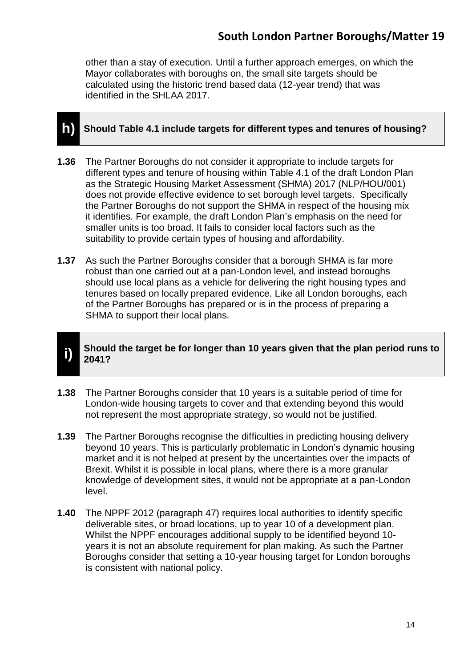other than a stay of execution. Until a further approach emerges, on which the Mayor collaborates with boroughs on, the small site targets should be calculated using the historic trend based data (12-year trend) that was identified in the SHLAA 2017.

## **h) Should Table 4.1 include targets for different types and tenures of housing?**

- **1.36** The Partner Boroughs do not consider it appropriate to include targets for different types and tenure of housing within Table 4.1 of the draft London Plan as the Strategic Housing Market Assessment (SHMA) 2017 (NLP/HOU/001) does not provide effective evidence to set borough level targets. Specifically the Partner Boroughs do not support the SHMA in respect of the housing mix it identifies. For example, the draft London Plan's emphasis on the need for smaller units is too broad. It fails to consider local factors such as the suitability to provide certain types of housing and affordability.
- **1.37** As such the Partner Boroughs consider that a borough SHMA is far more robust than one carried out at a pan-London level, and instead boroughs should use local plans as a vehicle for delivering the right housing types and tenures based on locally prepared evidence. Like all London boroughs, each of the Partner Boroughs has prepared or is in the process of preparing a SHMA to support their local plans.

#### **i) Should the target be for longer than 10 years given that the plan period runs to 2041?**

- **1.38** The Partner Boroughs consider that 10 years is a suitable period of time for London-wide housing targets to cover and that extending beyond this would not represent the most appropriate strategy, so would not be justified.
- **1.39** The Partner Boroughs recognise the difficulties in predicting housing delivery beyond 10 years. This is particularly problematic in London's dynamic housing market and it is not helped at present by the uncertainties over the impacts of Brexit. Whilst it is possible in local plans, where there is a more granular knowledge of development sites, it would not be appropriate at a pan-London level.
- **1.40** The NPPF 2012 (paragraph 47) requires local authorities to identify specific deliverable sites, or broad locations, up to year 10 of a development plan. Whilst the NPPF encourages additional supply to be identified beyond 10 years it is not an absolute requirement for plan making. As such the Partner Boroughs consider that setting a 10-year housing target for London boroughs is consistent with national policy.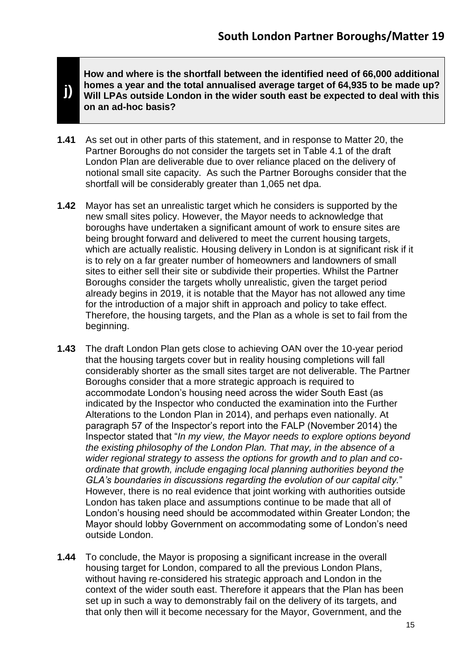**How and where is the shortfall between the identified need of 66,000 additional homes a year and the total annualised average target of 64,935 to be made up? Will LPAs outside London in the wider south east be expected to deal with this on an ad-hoc basis?**

**1.41** As set out in other parts of this statement, and in response to Matter 20, the Partner Boroughs do not consider the targets set in Table 4.1 of the draft London Plan are deliverable due to over reliance placed on the delivery of notional small site capacity. As such the Partner Boroughs consider that the shortfall will be considerably greater than 1,065 net dpa.

**j)**

- **1.42** Mayor has set an unrealistic target which he considers is supported by the new small sites policy. However, the Mayor needs to acknowledge that boroughs have undertaken a significant amount of work to ensure sites are being brought forward and delivered to meet the current housing targets, which are actually realistic. Housing delivery in London is at significant risk if it is to rely on a far greater number of homeowners and landowners of small sites to either sell their site or subdivide their properties. Whilst the Partner Boroughs consider the targets wholly unrealistic, given the target period already begins in 2019, it is notable that the Mayor has not allowed any time for the introduction of a major shift in approach and policy to take effect. Therefore, the housing targets, and the Plan as a whole is set to fail from the beginning.
- **1.43** The draft London Plan gets close to achieving OAN over the 10-year period that the housing targets cover but in reality housing completions will fall considerably shorter as the small sites target are not deliverable. The Partner Boroughs consider that a more strategic approach is required to accommodate London's housing need across the wider South East (as indicated by the Inspector who conducted the examination into the Further Alterations to the London Plan in 2014), and perhaps even nationally. At paragraph 57 of the Inspector's report into the FALP (November 2014) the Inspector stated that "*In my view, the Mayor needs to explore options beyond the existing philosophy of the London Plan. That may, in the absence of a wider regional strategy to assess the options for growth and to plan and coordinate that growth, include engaging local planning authorities beyond the GLA's boundaries in discussions regarding the evolution of our capital city.*" However, there is no real evidence that joint working with authorities outside London has taken place and assumptions continue to be made that all of London's housing need should be accommodated within Greater London; the Mayor should lobby Government on accommodating some of London's need outside London.
- **1.44** To conclude, the Mayor is proposing a significant increase in the overall housing target for London, compared to all the previous London Plans, without having re-considered his strategic approach and London in the context of the wider south east. Therefore it appears that the Plan has been set up in such a way to demonstrably fail on the delivery of its targets, and that only then will it become necessary for the Mayor, Government, and the